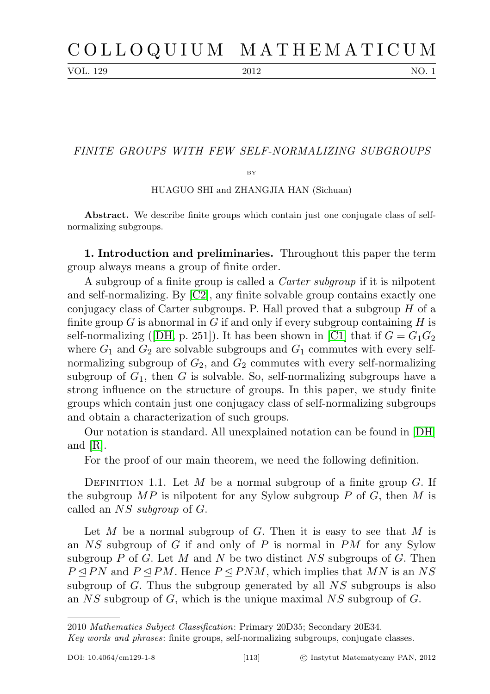VOL. 129 2012 NO. 1

## FINITE GROUPS WITH FEW SELF-NORMALIZING SUBGROUPS

 $BV$ 

HUAGUO SHI and ZHANGJIA HAN (Sichuan)

Abstract. We describe finite groups which contain just one conjugate class of selfnormalizing subgroups.

1. Introduction and preliminaries. Throughout this paper the term group always means a group of finite order.

A subgroup of a finite group is called a Carter subgroup if it is nilpotent and self-normalizing. By [\[C2\]](#page-4-0), any finite solvable group contains exactly one conjugacy class of Carter subgroups. P. Hall proved that a subgroup  $H$  of a finite group G is abnormal in G if and only if every subgroup containing H is self-normalizing ([\[DH,](#page-4-1) p. 251]). It has been shown in [\[C1\]](#page-4-2) that if  $G = G_1G_2$ where  $G_1$  and  $G_2$  are solvable subgroups and  $G_1$  commutes with every selfnormalizing subgroup of  $G_2$ , and  $G_2$  commutes with every self-normalizing subgroup of  $G_1$ , then G is solvable. So, self-normalizing subgroups have a strong influence on the structure of groups. In this paper, we study finite groups which contain just one conjugacy class of self-normalizing subgroups and obtain a characterization of such groups.

Our notation is standard. All unexplained notation can be found in [\[DH\]](#page-4-1) and [\[R\]](#page-4-3).

For the proof of our main theorem, we need the following definition.

DEFINITION 1.1. Let M be a normal subgroup of a finite group  $G$ . If the subgroup  $MP$  is nilpotent for any Sylow subgroup P of G, then M is called an NS subgroup of G.

Let  $M$  be a normal subgroup of  $G$ . Then it is easy to see that  $M$  is an  $NS$  subgroup of G if and only of P is normal in PM for any Sylow subgroup P of G. Let M and N be two distinct  $NS$  subgroups of G. Then  $P \triangle P N$  and  $P \triangle P M$ . Hence  $P \triangle P N M$ , which implies that MN is an NS subgroup of G. Thus the subgroup generated by all  $NS$  subgroups is also an  $NS$  subgroup of G, which is the unique maximal  $NS$  subgroup of G.

<sup>2010</sup> Mathematics Subject Classification: Primary 20D35; Secondary 20E34.

Key words and phrases: finite groups, self-normalizing subgroups, conjugate classes.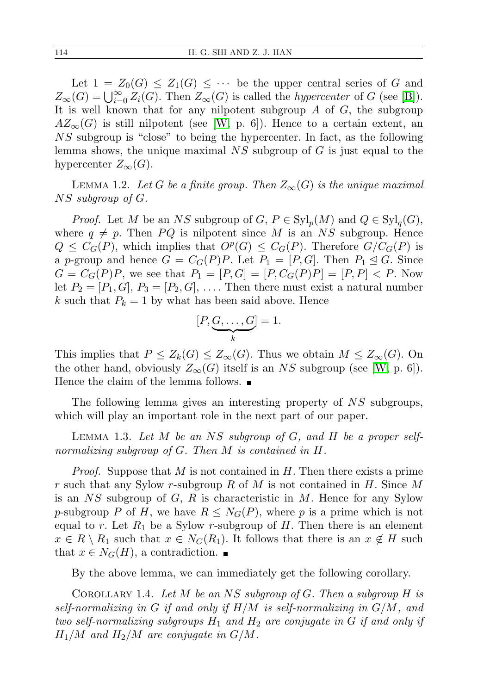Let  $1 = Z_0(G) \leq Z_1(G) \leq \cdots$  be the upper central series of G and  $Z_{\infty}(G) = \bigcup_{i=0}^{\infty} Z_i(G)$ . Then  $Z_{\infty}(G)$  is called the *hypercenter* of G (see [\[B\]](#page-4-4)). It is well known that for any nilpotent subgroup  $A$  of  $G$ , the subgroup  $AZ_\infty(G)$  is still nilpotent (see [\[W,](#page-4-5) p. 6]). Hence to a certain extent, an NS subgroup is "close" to being the hypercenter. In fact, as the following lemma shows, the unique maximal  $NS$  subgroup of G is just equal to the hypercenter  $Z_{\infty}(G)$ .

<span id="page-1-1"></span>LEMMA 1.2. Let G be a finite group. Then  $Z_{\infty}(G)$  is the unique maximal NS subgroup of G.

*Proof.* Let M be an NS subgroup of  $G, P \in Syl_p(M)$  and  $Q \in Syl_q(G)$ , where  $q \neq p$ . Then PQ is nilpotent since M is an NS subgroup. Hence  $Q \leq C_G(P)$ , which implies that  $O^p(G) \leq C_G(P)$ . Therefore  $G/C_G(P)$  is a p-group and hence  $G = C_G(P)P$ . Let  $P_1 = [P, G]$ . Then  $P_1 \leq G$ . Since  $G = C_G(P)P$ , we see that  $P_1 = [P, G] = [P, C_G(P)P] = [P, P] < P$ . Now let  $P_2 = [P_1, G], P_3 = [P_2, G], \ldots$ . Then there must exist a natural number k such that  $P_k = 1$  by what has been said above. Hence

$$
[P, \underbrace{G, \ldots, G}_{k}] = 1.
$$

This implies that  $P \leq Z_k(G) \leq Z_\infty(G)$ . Thus we obtain  $M \leq Z_\infty(G)$ . On the other hand, obviously  $Z_{\infty}(G)$  itself is an NS subgroup (see [\[W,](#page-4-5) p. 6]). Hence the claim of the lemma follows.  $\blacksquare$ 

The following lemma gives an interesting property of NS subgroups, which will play an important role in the next part of our paper.

LEMMA 1.3. Let M be an NS subgroup of  $G$ , and  $H$  be a proper selfnormalizing subgroup of G. Then M is contained in H.

*Proof.* Suppose that M is not contained in  $H$ . Then there exists a prime r such that any Sylow r-subgroup R of M is not contained in  $H$ . Since M is an  $NS$  subgroup of  $G, R$  is characteristic in M. Hence for any Sylow p-subgroup P of H, we have  $R \leq N_G(P)$ , where p is a prime which is not equal to r. Let  $R_1$  be a Sylow r-subgroup of H. Then there is an element  $x \in R \setminus R_1$  such that  $x \in N_G(R_1)$ . It follows that there is an  $x \notin H$  such that  $x \in N_G(H)$ , a contradiction.  $\blacksquare$ 

By the above lemma, we can immediately get the following corollary.

<span id="page-1-0"></span>COROLLARY 1.4. Let M be an NS subgroup of G. Then a subgroup  $H$  is self-normalizing in G if and only if  $H/M$  is self-normalizing in  $G/M$ , and two self-normalizing subgroups  $H_1$  and  $H_2$  are conjugate in G if and only if  $H_1/M$  and  $H_2/M$  are conjugate in  $G/M$ .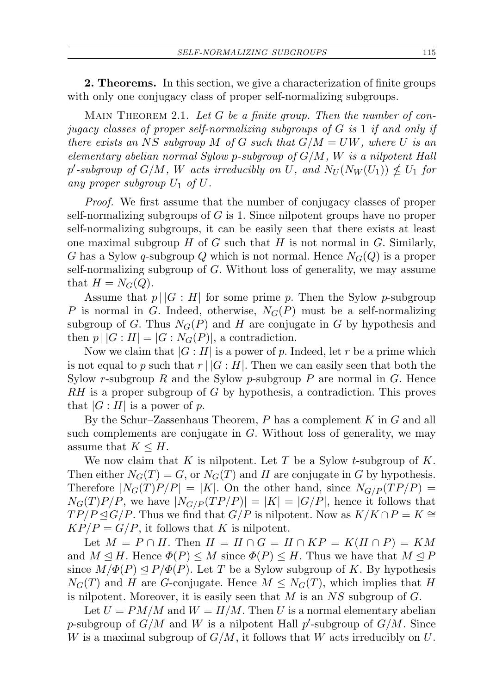2. Theorems. In this section, we give a characterization of finite groups with only one conjugacy class of proper self-normalizing subgroups.

<span id="page-2-0"></span>MAIN THEOREM 2.1. Let  $G$  be a finite group. Then the number of conjugacy classes of proper self-normalizing subgroups of G is 1 if and only if there exists an NS subgroup M of G such that  $G/M = UW$ , where U is an elementary abelian normal Sylow p-subgroup of  $G/M$ , W is a nilpotent Hall p'-subgroup of  $G/M$ , W acts irreducibly on U, and  $N_U(N_W(U_1)) \nleq U_1$  for any proper subgroup  $U_1$  of  $U$ .

Proof. We first assume that the number of conjugacy classes of proper self-normalizing subgroups of  $G$  is 1. Since nilpotent groups have no proper self-normalizing subgroups, it can be easily seen that there exists at least one maximal subgroup  $H$  of  $G$  such that  $H$  is not normal in  $G$ . Similarly, G has a Sylow q-subgroup Q which is not normal. Hence  $N_G(Q)$  is a proper self-normalizing subgroup of G. Without loss of generality, we may assume that  $H = N<sub>G</sub>(Q)$ .

Assume that  $p \mid |G : H|$  for some prime p. Then the Sylow p-subgroup P is normal in G. Indeed, otherwise,  $N_G(P)$  must be a self-normalizing subgroup of G. Thus  $N_G(P)$  and H are conjugate in G by hypothesis and then  $p \mid |G : H| = |G : N_G(P)|$ , a contradiction.

Now we claim that  $|G:H|$  is a power of p. Indeed, let r be a prime which is not equal to p such that  $r \mid |G : H|$ . Then we can easily seen that both the Sylow r-subgroup R and the Sylow p-subgroup P are normal in G. Hence RH is a proper subgroup of G by hypothesis, a contradiction. This proves that  $|G : H|$  is a power of p.

By the Schur–Zassenhaus Theorem,  $P$  has a complement  $K$  in  $G$  and all such complements are conjugate in G. Without loss of generality, we may assume that  $K \leq H$ .

We now claim that K is nilpotent. Let T be a Sylow t-subgroup of  $K$ . Then either  $N_G(T) = G$ , or  $N_G(T)$  and H are conjugate in G by hypothesis. Therefore  $|N_G(T)P/P| = |K|$ . On the other hand, since  $N_{G/P}(TP/P)$  =  $N_G(T)P/P$ , we have  $|N_{G/P}(TP/P)| = |K| = |G/P|$ , hence it follows that  $TP/P \trianglelefteq G/P$ . Thus we find that  $G/P$  is nilpotent. Now as  $K/K \cap P = K$  $KP/P = G/P$ , it follows that K is nilpotent.

Let  $M = P \cap H$ . Then  $H = H \cap G = H \cap KP = K(H \cap P) = KM$ and  $M \leq H$ . Hence  $\Phi(P) \leq M$  since  $\Phi(P) \leq H$ . Thus we have that  $M \leq P$ since  $M/\Phi(P) \leq P/\Phi(P)$ . Let T be a Sylow subgroup of K. By hypothesis  $N_G(T)$  and H are G-conjugate. Hence  $M \leq N_G(T)$ , which implies that H is nilpotent. Moreover, it is easily seen that  $M$  is an  $NS$  subgroup of  $G$ .

Let  $U = PM/M$  and  $W = H/M$ . Then U is a normal elementary abelian p-subgroup of  $G/M$  and W is a nilpotent Hall p'-subgroup of  $G/M$ . Since W is a maximal subgroup of  $G/M$ , it follows that W acts irreducibly on U.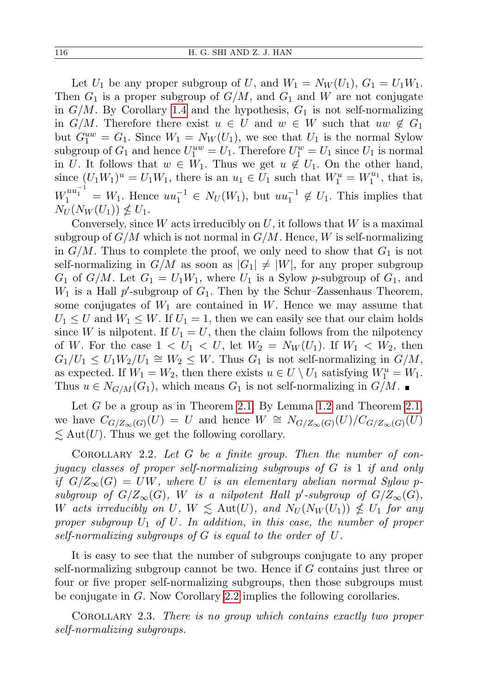Let  $U_1$  be any proper subgroup of U, and  $W_1 = N_W(U_1)$ ,  $G_1 = U_1W_1$ . Then  $G_1$  is a proper subgroup of  $G/M$ , and  $G_1$  and W are not conjugate in  $G/M$ . By Corollary [1.4](#page-1-0) and the hypothesis,  $G_1$  is not self-normalizing in  $G/M$ . Therefore there exist  $u \in U$  and  $w \in W$  such that  $uw \notin G_1$ but  $G_1^{uw} = G_1$ . Since  $W_1 = N_W(U_1)$ , we see that  $U_1$  is the normal Sylow subgroup of  $G_1$  and hence  $U_1^{uw} = U_1$ . Therefore  $U_1^w = U_1$  since  $U_1$  is normal in U. It follows that  $w \in W_1$ . Thus we get  $u \notin U_1$ . On the other hand, since  $(U_1W_1)^u = U_1W_1$ , there is an  $u_1 \in U_1$  such that  $W_1^u = W_1^{u_1}$ , that is,  $W_1^{uu_1^{-1}} = W_1$ . Hence  $uu_1^{-1} \in N_U(W_1)$ , but  $uu_1^{-1} \notin U_1$ . This implies that  $N_U(N_W(U_1)) \nleq U_1.$ 

Conversely, since  $W$  acts irreducibly on  $U$ , it follows that  $W$  is a maximal subgroup of  $G/M$  which is not normal in  $G/M$ . Hence, W is self-normalizing in  $G/M$ . Thus to complete the proof, we only need to show that  $G_1$  is not self-normalizing in  $G/M$  as soon as  $|G_1| \neq |W|$ , for any proper subgroup  $G_1$  of  $G/M$ . Let  $G_1 = U_1W_1$ , where  $U_1$  is a Sylow p-subgroup of  $G_1$ , and  $W_1$  is a Hall p'-subgroup of  $G_1$ . Then by the Schur-Zassenhaus Theorem, some conjugates of  $W_1$  are contained in W. Hence we may assume that  $U_1 \leq U$  and  $W_1 \leq W$ . If  $U_1 = 1$ , then we can easily see that our claim holds since W is nilpotent. If  $U_1 = U$ , then the claim follows from the nilpotency of W. For the case  $1 < U_1 < U$ , let  $W_2 = N_W(U_1)$ . If  $W_1 < W_2$ , then  $G_1/U_1 \leq U_1 W_2/U_1 \cong W_2 \leq W$ . Thus  $G_1$  is not self-normalizing in  $G/M$ , as expected. If  $W_1 = W_2$ , then there exists  $u \in U \setminus U_1$  satisfying  $W_1^u = W_1$ . Thus  $u \in N_{G/M}(G_1)$ , which means  $G_1$  is not self-normalizing in  $G/M$ .

Let  $G$  be a group as in Theorem [2.1.](#page-2-0) By Lemma [1.2](#page-1-1) and Theorem [2.1,](#page-2-0) we have  $C_{G/Z_{\infty}(G)}(U) = U$  and hence  $W \cong N_{G/Z_{\infty}(G)}(U)/C_{G/Z_{\infty}(G)}(U)$  $\leq$  Aut(U). Thus we get the following corollary.

<span id="page-3-0"></span>COROLLARY 2.2. Let  $G$  be a finite group. Then the number of conjugacy classes of proper self-normalizing subgroups of G is 1 if and only if  $G/Z_{\infty}(G) = UW$ , where U is an elementary abelian normal Sylow psubgroup of  $G/Z_{\infty}(G)$ , W is a nilpotent Hall p'-subgroup of  $G/Z_{\infty}(G)$ , W acts irreducibly on  $U, W \leq \text{Aut}(U)$ , and  $N_U(N_W(U_1)) \nleq U_1$  for any proper subgroup  $U_1$  of  $U$ . In addition, in this case, the number of proper self-normalizing subgroups of G is equal to the order of U.

It is easy to see that the number of subgroups conjugate to any proper self-normalizing subgroup cannot be two. Hence if G contains just three or four or five proper self-normalizing subgroups, then those subgroups must be conjugate in G. Now Corollary [2.2](#page-3-0) implies the following corollaries.

COROLLARY 2.3. There is no group which contains exactly two proper self-normalizing subgroups.